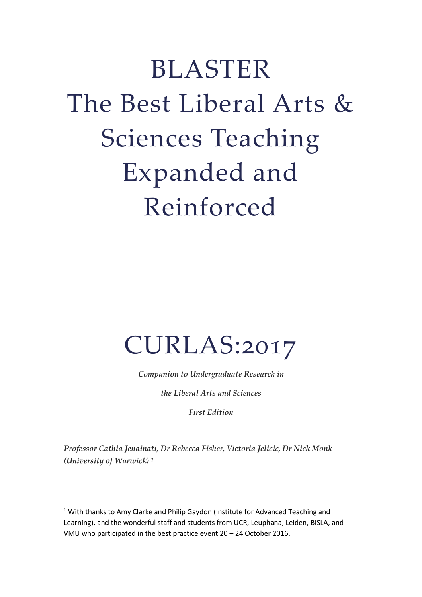# BLASTER The Best Liberal Arts & Sciences Teaching Expanded and Reinforced



*Companion to Undergraduate Research in*

*the Liberal Arts and Sciences*

*First Edition*

*Professor Cathia Jenainati, Dr Rebecca Fisher, Victoria Jelicic, Dr Nick Monk (University of Warwick) <sup>1</sup>*

-

<sup>&</sup>lt;sup>1</sup> With thanks to Amy Clarke and Philip Gaydon (Institute for Advanced Teaching and Learning), and the wonderful staff and students from UCR, Leuphana, Leiden, BISLA, and VMU who participated in the best practice event 20 – 24 October 2016.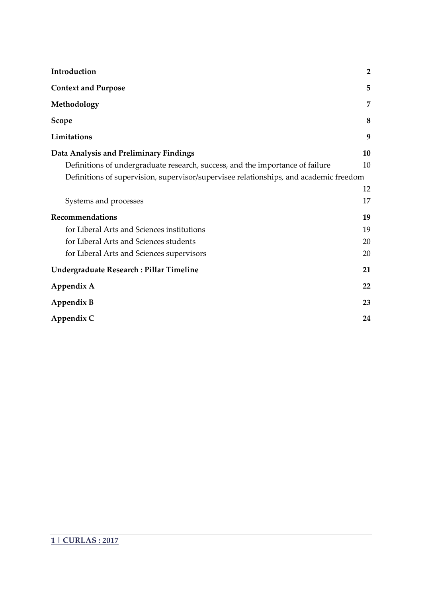| Introduction                                                                          | $\overline{2}$ |
|---------------------------------------------------------------------------------------|----------------|
| <b>Context and Purpose</b>                                                            | 5              |
| Methodology                                                                           | 7              |
| Scope                                                                                 | 8              |
| Limitations                                                                           | 9              |
| Data Analysis and Preliminary Findings                                                | 10             |
| Definitions of undergraduate research, success, and the importance of failure         | 10             |
| Definitions of supervision, supervisor/supervisee relationships, and academic freedom |                |
|                                                                                       | 12             |
| Systems and processes                                                                 | 17             |
| Recommendations                                                                       | 19             |
| for Liberal Arts and Sciences institutions                                            | 19             |
| for Liberal Arts and Sciences students                                                | 20             |
| for Liberal Arts and Sciences supervisors                                             | 20             |
| Undergraduate Research : Pillar Timeline                                              | 21             |
| Appendix A                                                                            | 22             |
| Appendix B                                                                            | 23             |
| Appendix C                                                                            | 24             |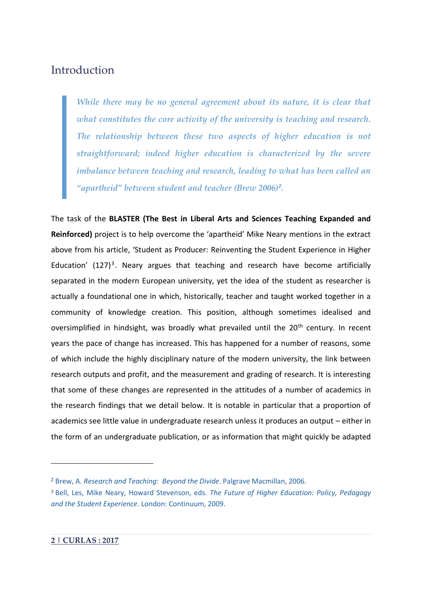## Introduction

*While there may be no general agreement about its nature, it is clear that what constitutes the core activity of the university is teaching and research. The relationship between these two aspects of higher education is not straightforward; indeed higher education is characterized by the severe imbalance between teaching and research, leading to what has been called an "apartheid" between student and teacher (Brew 2006)<sup>2</sup> .*

The task of the **BLASTER (The Best in Liberal Arts and Sciences Teaching Expanded and Reinforced)** project is to help overcome the 'apartheid' Mike Neary mentions in the extract above from his article, 'Student as Producer: Reinventing the Student Experience in Higher Education' (127)<sup>3</sup>. Neary argues that teaching and research have become artificially separated in the modern European university, yet the idea of the student as researcher is actually a foundational one in which, historically, teacher and taught worked together in a community of knowledge creation. This position, although sometimes idealised and oversimplified in hindsight, was broadly what prevailed until the 20<sup>th</sup> century. In recent years the pace of change has increased. This has happened for a number of reasons, some of which include the highly disciplinary nature of the modern university, the link between research outputs and profit, and the measurement and grading of research. It is interesting that some of these changes are represented in the attitudes of a number of academics in the research findings that we detail below. It is notable in particular that a proportion of academics see little value in undergraduate research unless it produces an output – either in the form of an undergraduate publication, or as information that might quickly be adapted

1

<sup>2</sup> Brew, A. *Research and Teaching: Beyond the Divide*. Palgrave Macmillan, 2006.

<sup>3</sup> Bell, Les, Mike Neary, Howard Stevenson, eds. *The Future of Higher Education: Policy, Pedagogy and the Student Experience*. London: Continuum, 2009.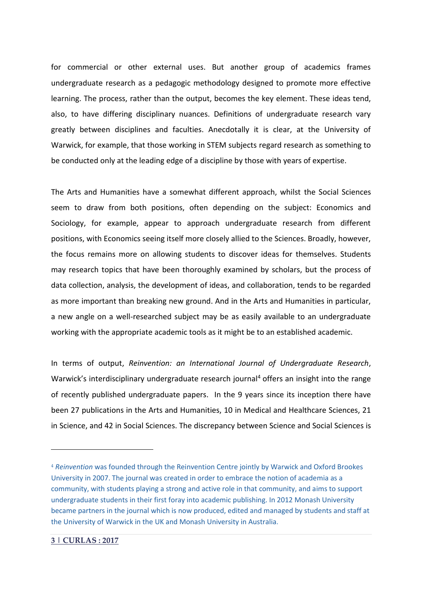for commercial or other external uses. But another group of academics frames undergraduate research as a pedagogic methodology designed to promote more effective learning. The process, rather than the output, becomes the key element. These ideas tend, also, to have differing disciplinary nuances. Definitions of undergraduate research vary greatly between disciplines and faculties. Anecdotally it is clear, at the University of Warwick, for example, that those working in STEM subjects regard research as something to be conducted only at the leading edge of a discipline by those with years of expertise.

The Arts and Humanities have a somewhat different approach, whilst the Social Sciences seem to draw from both positions, often depending on the subject: Economics and Sociology, for example, appear to approach undergraduate research from different positions, with Economics seeing itself more closely allied to the Sciences. Broadly, however, the focus remains more on allowing students to discover ideas for themselves. Students may research topics that have been thoroughly examined by scholars, but the process of data collection, analysis, the development of ideas, and collaboration, tends to be regarded as more important than breaking new ground. And in the Arts and Humanities in particular, a new angle on a well-researched subject may be as easily available to an undergraduate working with the appropriate academic tools as it might be to an established academic.

In terms of output, *Reinvention: an International Journal of Undergraduate Research*, Warwick's interdisciplinary undergraduate research journal<sup>4</sup> offers an insight into the range of recently published undergraduate papers. In the 9 years since its inception there have been 27 publications in the Arts and Humanities, 10 in Medical and Healthcare Sciences, 21 in Science, and 42 in Social Sciences. The discrepancy between Science and Social Sciences is

1

<sup>4</sup> *Reinvention* was founded through the Reinvention Centre jointly by Warwick and Oxford Brookes University in 2007. The journal was created in order to embrace the notion of academia as a community, with students playing a strong and active role in that community, and aims to support undergraduate students in their first foray into academic publishing. In 2012 Monash University became partners in the journal which is now produced, edited and managed by students and staff at the University of Warwick in the UK and Monash University in Australia.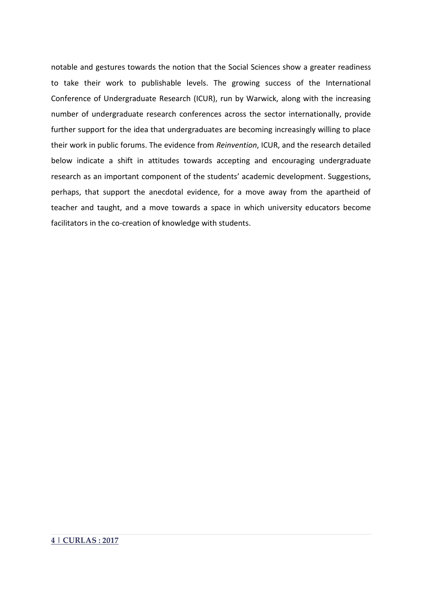notable and gestures towards the notion that the Social Sciences show a greater readiness to take their work to publishable levels. The growing success of the International Conference of Undergraduate Research (ICUR), run by Warwick, along with the increasing number of undergraduate research conferences across the sector internationally, provide further support for the idea that undergraduates are becoming increasingly willing to place their work in public forums. The evidence from *Reinvention*, ICUR, and the research detailed below indicate a shift in attitudes towards accepting and encouraging undergraduate research as an important component of the students' academic development. Suggestions, perhaps, that support the anecdotal evidence, for a move away from the apartheid of teacher and taught, and a move towards a space in which university educators become facilitators in the co-creation of knowledge with students.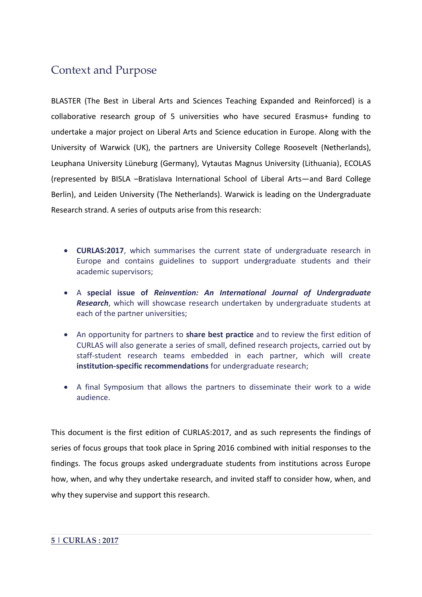## Context and Purpose

BLASTER (The Best in Liberal Arts and Sciences Teaching Expanded and Reinforced) is a collaborative research group of 5 universities who have secured Erasmus+ funding to undertake a major project on Liberal Arts and Science education in Europe. Along with the University of Warwick (UK), the partners are University College Roosevelt (Netherlands), Leuphana University Lüneburg (Germany), Vytautas Magnus University (Lithuania), ECOLAS (represented by BISLA –Bratislava International School of Liberal Arts—and Bard College Berlin), and Leiden University (The Netherlands). Warwick is leading on the Undergraduate Research strand. A series of outputs arise from this research:

- **CURLAS:2017**, which summarises the current state of undergraduate research in Europe and contains guidelines to support undergraduate students and their academic supervisors;
- A **special issue of** *Reinvention: An International Journal of Undergraduate Research*, which will showcase research undertaken by undergraduate students at each of the partner universities;
- An opportunity for partners to **share best practice** and to review the first edition of CURLAS will also generate a series of small, defined research projects, carried out by staff-student research teams embedded in each partner, which will create **institution-specific recommendations** for undergraduate research;
- A final Symposium that allows the partners to disseminate their work to a wide audience.

This document is the first edition of CURLAS:2017, and as such represents the findings of series of focus groups that took place in Spring 2016 combined with initial responses to the findings. The focus groups asked undergraduate students from institutions across Europe how, when, and why they undertake research, and invited staff to consider how, when, and why they supervise and support this research.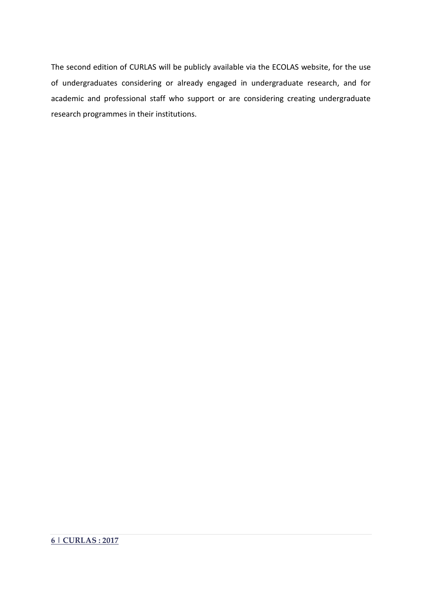The second edition of CURLAS will be publicly available via the ECOLAS website, for the use of undergraduates considering or already engaged in undergraduate research, and for academic and professional staff who support or are considering creating undergraduate research programmes in their institutions.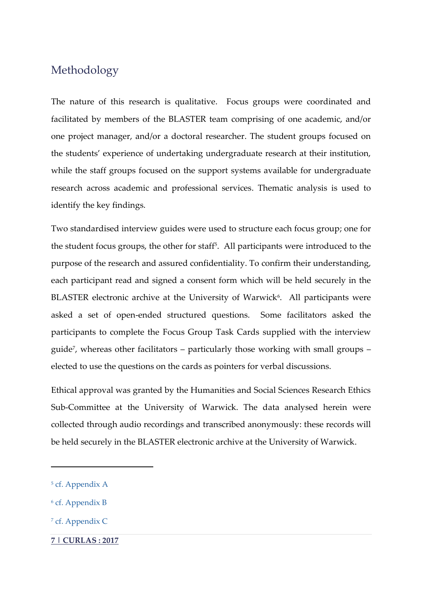## Methodology

The nature of this research is qualitative. Focus groups were coordinated and facilitated by members of the BLASTER team comprising of one academic, and/or one project manager, and/or a doctoral researcher. The student groups focused on the students' experience of undertaking undergraduate research at their institution, while the staff groups focused on the support systems available for undergraduate research across academic and professional services. Thematic analysis is used to identify the key findings.

Two standardised interview guides were used to structure each focus group; one for the student focus groups, the other for staff<sup>5</sup>. All participants were introduced to the purpose of the research and assured confidentiality. To confirm their understanding, each participant read and signed a consent form which will be held securely in the BLASTER electronic archive at the University of Warwick<sup>6</sup>. All participants were asked a set of open-ended structured questions. Some facilitators asked the participants to complete the Focus Group Task Cards supplied with the interview guide<sup>7</sup> , whereas other facilitators – particularly those working with small groups – elected to use the questions on the cards as pointers for verbal discussions.

Ethical approval was granted by the Humanities and Social Sciences Research Ethics Sub-Committee at the University of Warwick. The data analysed herein were collected through audio recordings and transcribed anonymously: these records will be held securely in the BLASTER electronic archive at the University of Warwick.

j

- <sup>6</sup> cf. Appendix B
- <sup>7</sup> cf. Appendix C
- **7 | CURLAS : 2017**

<sup>5</sup> cf. Appendix A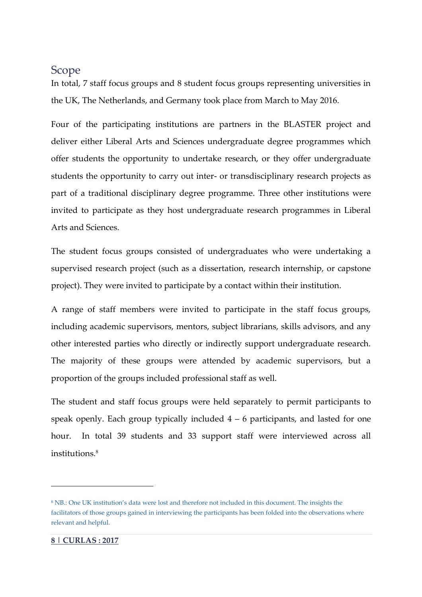### Scope

In total, 7 staff focus groups and 8 student focus groups representing universities in the UK, The Netherlands, and Germany took place from March to May 2016.

Four of the participating institutions are partners in the BLASTER project and deliver either Liberal Arts and Sciences undergraduate degree programmes which offer students the opportunity to undertake research, or they offer undergraduate students the opportunity to carry out inter- or transdisciplinary research projects as part of a traditional disciplinary degree programme. Three other institutions were invited to participate as they host undergraduate research programmes in Liberal Arts and Sciences.

The student focus groups consisted of undergraduates who were undertaking a supervised research project (such as a dissertation, research internship, or capstone project). They were invited to participate by a contact within their institution.

A range of staff members were invited to participate in the staff focus groups, including academic supervisors, mentors, subject librarians, skills advisors, and any other interested parties who directly or indirectly support undergraduate research. The majority of these groups were attended by academic supervisors, but a proportion of the groups included professional staff as well.

The student and staff focus groups were held separately to permit participants to speak openly. Each group typically included  $4 - 6$  participants, and lasted for one hour. In total 39 students and 33 support staff were interviewed across all institutions.<sup>8</sup>

1

<sup>8</sup> NB.: One UK institution's data were lost and therefore not included in this document. The insights the facilitators of those groups gained in interviewing the participants has been folded into the observations where relevant and helpful.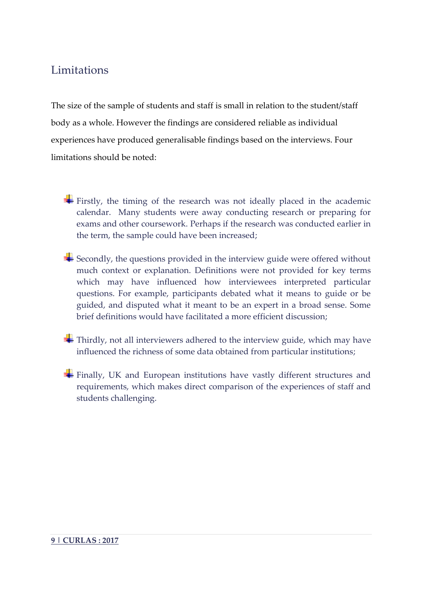## Limitations

The size of the sample of students and staff is small in relation to the student/staff body as a whole. However the findings are considered reliable as individual experiences have produced generalisable findings based on the interviews. Four limitations should be noted:

- Firstly, the timing of the research was not ideally placed in the academic calendar. Many students were away conducting research or preparing for exams and other coursework. Perhaps if the research was conducted earlier in the term, the sample could have been increased;
- $\bigoplus$  **Secondly, the questions provided in the interview guide were offered without** much context or explanation. Definitions were not provided for key terms which may have influenced how interviewees interpreted particular questions. For example, participants debated what it means to guide or be guided, and disputed what it meant to be an expert in a broad sense. Some brief definitions would have facilitated a more efficient discussion;
- **Thirdly, not all interviewers adhered to the interview guide, which may have** influenced the richness of some data obtained from particular institutions;
- Finally, UK and European institutions have vastly different structures and requirements, which makes direct comparison of the experiences of staff and students challenging.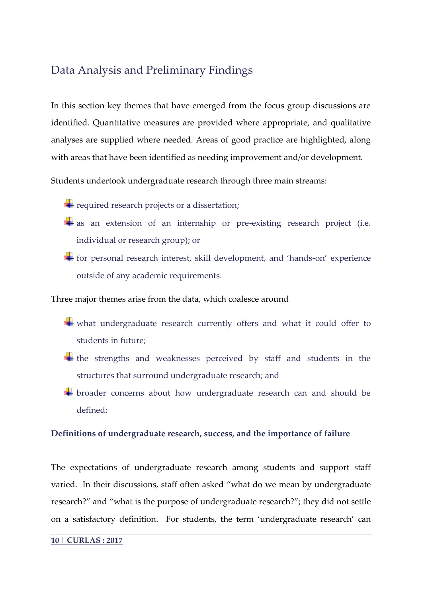## Data Analysis and Preliminary Findings

In this section key themes that have emerged from the focus group discussions are identified. Quantitative measures are provided where appropriate, and qualitative analyses are supplied where needed. Areas of good practice are highlighted, along with areas that have been identified as needing improvement and/or development.

Students undertook undergraduate research through three main streams:

- $\ddot{\bullet}$  required research projects or a dissertation;
- $\ddot{\bullet}$  as an extension of an internship or pre-existing research project (i.e. individual or research group); or
- for personal research interest, skill development, and 'hands-on' experience outside of any academic requirements.

Three major themes arise from the data, which coalesce around

- what undergraduate research currently offers and what it could offer to students in future;
- the strengths and weaknesses perceived by staff and students in the structures that surround undergraduate research; and
- **+** broader concerns about how undergraduate research can and should be defined:

#### **Definitions of undergraduate research, success, and the importance of failure**

The expectations of undergraduate research among students and support staff varied. In their discussions, staff often asked "what do we mean by undergraduate research?" and "what is the purpose of undergraduate research?"; they did not settle on a satisfactory definition. For students, the term 'undergraduate research' can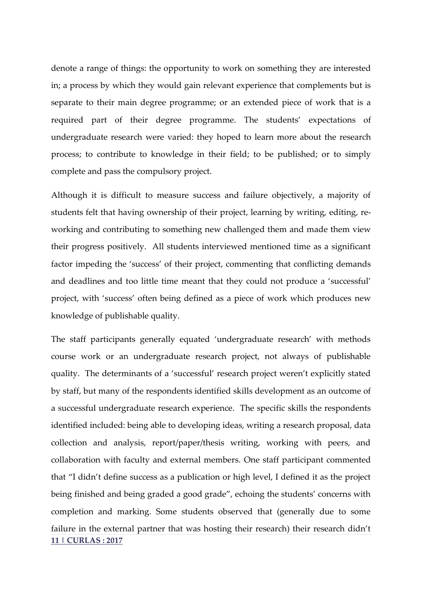denote a range of things: the opportunity to work on something they are interested in; a process by which they would gain relevant experience that complements but is separate to their main degree programme; or an extended piece of work that is a required part of their degree programme. The students' expectations of undergraduate research were varied: they hoped to learn more about the research process; to contribute to knowledge in their field; to be published; or to simply complete and pass the compulsory project.

Although it is difficult to measure success and failure objectively, a majority of students felt that having ownership of their project, learning by writing, editing, reworking and contributing to something new challenged them and made them view their progress positively. All students interviewed mentioned time as a significant factor impeding the 'success' of their project, commenting that conflicting demands and deadlines and too little time meant that they could not produce a 'successful' project, with 'success' often being defined as a piece of work which produces new knowledge of publishable quality.

**11 | CURLAS : 2017** The staff participants generally equated 'undergraduate research' with methods course work or an undergraduate research project, not always of publishable quality. The determinants of a 'successful' research project weren't explicitly stated by staff, but many of the respondents identified skills development as an outcome of a successful undergraduate research experience. The specific skills the respondents identified included: being able to developing ideas, writing a research proposal, data collection and analysis, report/paper/thesis writing, working with peers, and collaboration with faculty and external members. One staff participant commented that "I didn't define success as a publication or high level, I defined it as the project being finished and being graded a good grade", echoing the students' concerns with completion and marking. Some students observed that (generally due to some failure in the external partner that was hosting their research) their research didn't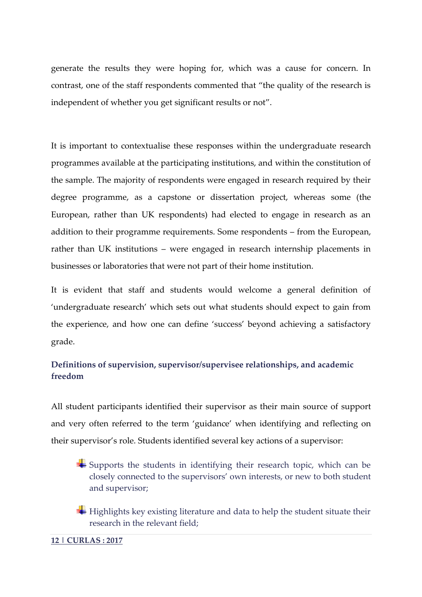generate the results they were hoping for, which was a cause for concern. In contrast, one of the staff respondents commented that "the quality of the research is independent of whether you get significant results or not".

It is important to contextualise these responses within the undergraduate research programmes available at the participating institutions, and within the constitution of the sample. The majority of respondents were engaged in research required by their degree programme, as a capstone or dissertation project, whereas some (the European, rather than UK respondents) had elected to engage in research as an addition to their programme requirements. Some respondents – from the European, rather than UK institutions – were engaged in research internship placements in businesses or laboratories that were not part of their home institution.

It is evident that staff and students would welcome a general definition of 'undergraduate research' which sets out what students should expect to gain from the experience, and how one can define 'success' beyond achieving a satisfactory grade.

#### **Definitions of supervision, supervisor/supervisee relationships, and academic freedom**

All student participants identified their supervisor as their main source of support and very often referred to the term 'guidance' when identifying and reflecting on their supervisor's role. Students identified several key actions of a supervisor:

- Supports the students in identifying their research topic, which can be closely connected to the supervisors' own interests, or new to both student and supervisor;
- $\ddot{\text{H}}$  Highlights key existing literature and data to help the student situate their research in the relevant field;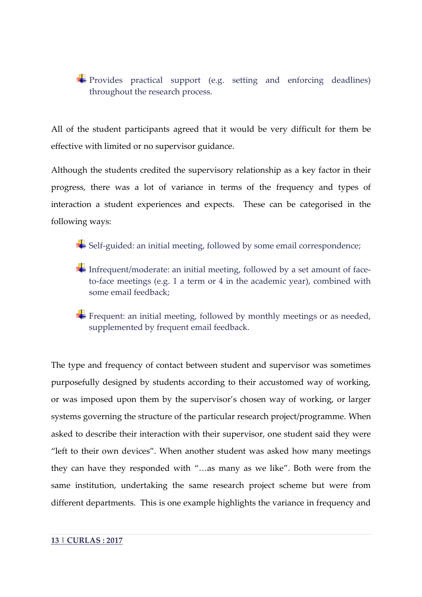Provides practical support (e.g. setting and enforcing deadlines) throughout the research process.

All of the student participants agreed that it would be very difficult for them be effective with limited or no supervisor guidance.

Although the students credited the supervisory relationship as a key factor in their progress, there was a lot of variance in terms of the frequency and types of interaction a student experiences and expects. These can be categorised in the following ways:

Self-guided: an initial meeting, followed by some email correspondence;

- Infrequent/moderate: an initial meeting, followed by a set amount of faceto-face meetings (e.g. 1 a term or 4 in the academic year), combined with some email feedback;
- $\ddot{\bullet}$  Frequent: an initial meeting, followed by monthly meetings or as needed, supplemented by frequent email feedback.

The type and frequency of contact between student and supervisor was sometimes purposefully designed by students according to their accustomed way of working, or was imposed upon them by the supervisor's chosen way of working, or larger systems governing the structure of the particular research project/programme. When asked to describe their interaction with their supervisor, one student said they were "left to their own devices". When another student was asked how many meetings they can have they responded with "…as many as we like". Both were from the same institution, undertaking the same research project scheme but were from different departments. This is one example highlights the variance in frequency and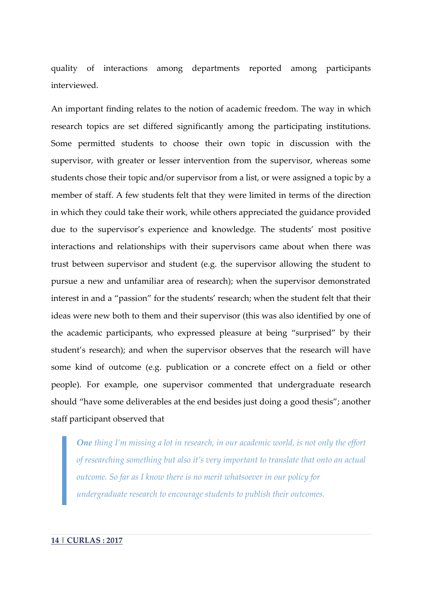quality of interactions among departments reported among participants interviewed.

An important finding relates to the notion of academic freedom. The way in which research topics are set differed significantly among the participating institutions. Some permitted students to choose their own topic in discussion with the supervisor, with greater or lesser intervention from the supervisor, whereas some students chose their topic and/or supervisor from a list, or were assigned a topic by a member of staff. A few students felt that they were limited in terms of the direction in which they could take their work, while others appreciated the guidance provided due to the supervisor's experience and knowledge. The students' most positive interactions and relationships with their supervisors came about when there was trust between supervisor and student (e.g. the supervisor allowing the student to pursue a new and unfamiliar area of research); when the supervisor demonstrated interest in and a "passion" for the students' research; when the student felt that their ideas were new both to them and their supervisor (this was also identified by one of the academic participants, who expressed pleasure at being "surprised" by their student's research); and when the supervisor observes that the research will have some kind of outcome (e.g. publication or a concrete effect on a field or other people). For example, one supervisor commented that undergraduate research should "have some deliverables at the end besides just doing a good thesis"; another staff participant observed that

*One thing I'm missing a lot in research, in our academic world, is not only the effort of researching something but also it's very important to translate that onto an actual outcome. So far as I know there is no merit whatsoever in our policy for undergraduate research to encourage students to publish their outcomes.*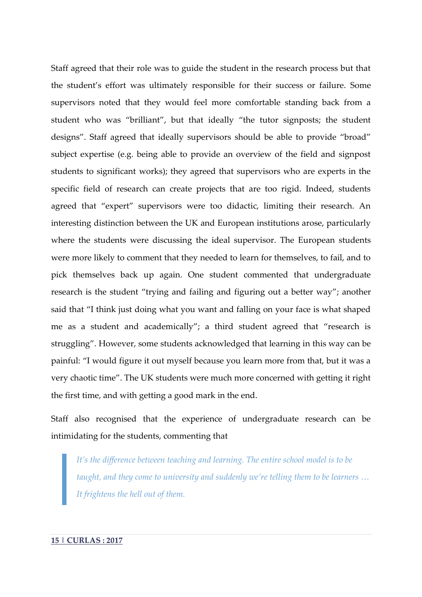Staff agreed that their role was to guide the student in the research process but that the student's effort was ultimately responsible for their success or failure. Some supervisors noted that they would feel more comfortable standing back from a student who was "brilliant", but that ideally "the tutor signposts; the student designs". Staff agreed that ideally supervisors should be able to provide "broad" subject expertise (e.g. being able to provide an overview of the field and signpost students to significant works); they agreed that supervisors who are experts in the specific field of research can create projects that are too rigid. Indeed, students agreed that "expert" supervisors were too didactic, limiting their research. An interesting distinction between the UK and European institutions arose, particularly where the students were discussing the ideal supervisor. The European students were more likely to comment that they needed to learn for themselves, to fail, and to pick themselves back up again. One student commented that undergraduate research is the student "trying and failing and figuring out a better way"; another said that "I think just doing what you want and falling on your face is what shaped me as a student and academically"; a third student agreed that "research is struggling". However, some students acknowledged that learning in this way can be painful: "I would figure it out myself because you learn more from that, but it was a very chaotic time". The UK students were much more concerned with getting it right the first time, and with getting a good mark in the end.

Staff also recognised that the experience of undergraduate research can be intimidating for the students, commenting that

*It's the difference between teaching and learning. The entire school model is to be taught, and they come to university and suddenly we're telling them to be learners … It frightens the hell out of them.*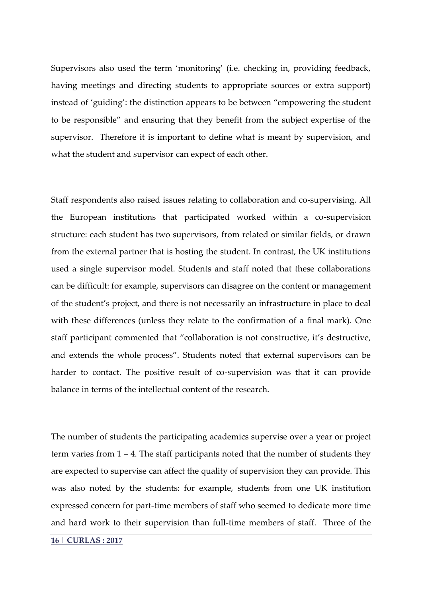Supervisors also used the term 'monitoring' (i.e. checking in, providing feedback, having meetings and directing students to appropriate sources or extra support) instead of 'guiding': the distinction appears to be between "empowering the student to be responsible" and ensuring that they benefit from the subject expertise of the supervisor. Therefore it is important to define what is meant by supervision, and what the student and supervisor can expect of each other.

Staff respondents also raised issues relating to collaboration and co-supervising. All the European institutions that participated worked within a co-supervision structure: each student has two supervisors, from related or similar fields, or drawn from the external partner that is hosting the student. In contrast, the UK institutions used a single supervisor model. Students and staff noted that these collaborations can be difficult: for example, supervisors can disagree on the content or management of the student's project, and there is not necessarily an infrastructure in place to deal with these differences (unless they relate to the confirmation of a final mark). One staff participant commented that "collaboration is not constructive, it's destructive, and extends the whole process". Students noted that external supervisors can be harder to contact. The positive result of co-supervision was that it can provide balance in terms of the intellectual content of the research.

The number of students the participating academics supervise over a year or project term varies from  $1 - 4$ . The staff participants noted that the number of students they are expected to supervise can affect the quality of supervision they can provide. This was also noted by the students: for example, students from one UK institution expressed concern for part-time members of staff who seemed to dedicate more time and hard work to their supervision than full-time members of staff. Three of the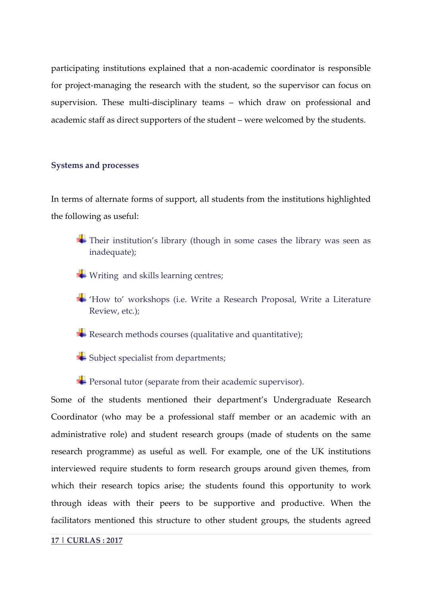participating institutions explained that a non-academic coordinator is responsible for project-managing the research with the student, so the supervisor can focus on supervision. These multi-disciplinary teams – which draw on professional and academic staff as direct supporters of the student – were welcomed by the students.

#### **Systems and processes**

In terms of alternate forms of support, all students from the institutions highlighted the following as useful:

- Their institution's library (though in some cases the library was seen as inadequate);
- $\ddot{\bullet}$  Writing and skills learning centres;
- 'How to' workshops (i.e. Write a Research Proposal, Write a Literature Review, etc.);
- Research methods courses (qualitative and quantitative);
- Subject specialist from departments;

Personal tutor (separate from their academic supervisor).

Some of the students mentioned their department's Undergraduate Research Coordinator (who may be a professional staff member or an academic with an administrative role) and student research groups (made of students on the same research programme) as useful as well. For example, one of the UK institutions interviewed require students to form research groups around given themes, from which their research topics arise; the students found this opportunity to work through ideas with their peers to be supportive and productive. When the facilitators mentioned this structure to other student groups, the students agreed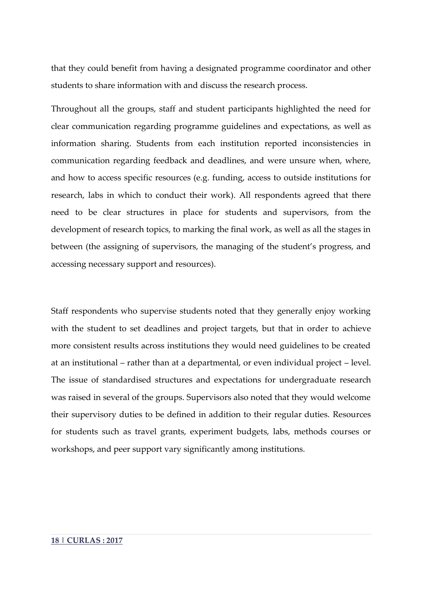that they could benefit from having a designated programme coordinator and other students to share information with and discuss the research process.

Throughout all the groups, staff and student participants highlighted the need for clear communication regarding programme guidelines and expectations, as well as information sharing. Students from each institution reported inconsistencies in communication regarding feedback and deadlines, and were unsure when, where, and how to access specific resources (e.g. funding, access to outside institutions for research, labs in which to conduct their work). All respondents agreed that there need to be clear structures in place for students and supervisors, from the development of research topics, to marking the final work, as well as all the stages in between (the assigning of supervisors, the managing of the student's progress, and accessing necessary support and resources).

Staff respondents who supervise students noted that they generally enjoy working with the student to set deadlines and project targets, but that in order to achieve more consistent results across institutions they would need guidelines to be created at an institutional – rather than at a departmental, or even individual project – level. The issue of standardised structures and expectations for undergraduate research was raised in several of the groups. Supervisors also noted that they would welcome their supervisory duties to be defined in addition to their regular duties. Resources for students such as travel grants, experiment budgets, labs, methods courses or workshops, and peer support vary significantly among institutions.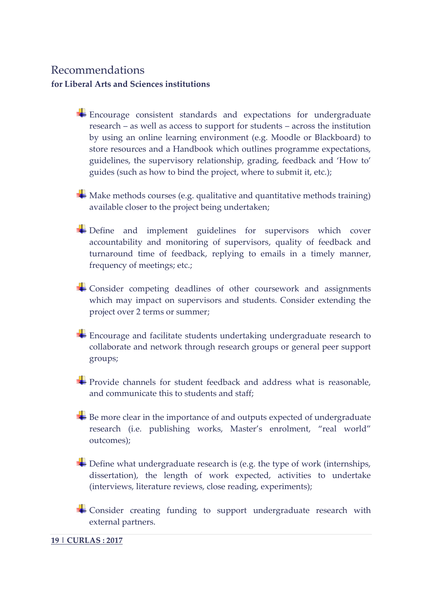## Recommendations **for Liberal Arts and Sciences institutions**

- Encourage consistent standards and expectations for undergraduate research – as well as access to support for students – across the institution by using an online learning environment (e.g. Moodle or Blackboard) to store resources and a Handbook which outlines programme expectations, guidelines, the supervisory relationship, grading, feedback and 'How to' guides (such as how to bind the project, where to submit it, etc.);
- $\blacktriangle$  Make methods courses (e.g. qualitative and quantitative methods training) available closer to the project being undertaken;
- Define and implement guidelines for supervisors which cover accountability and monitoring of supervisors, quality of feedback and turnaround time of feedback, replying to emails in a timely manner, frequency of meetings; etc.;
- Consider competing deadlines of other coursework and assignments which may impact on supervisors and students. Consider extending the project over 2 terms or summer;
- Encourage and facilitate students undertaking undergraduate research to collaborate and network through research groups or general peer support groups;
- $\blacktriangleright$  Provide channels for student feedback and address what is reasonable, and communicate this to students and staff;
- $\overline{\phantom{a}}$  Be more clear in the importance of and outputs expected of undergraduate research (i.e. publishing works, Master's enrolment, "real world" outcomes);
- $\blacktriangle$  Define what undergraduate research is (e.g. the type of work (internships, dissertation), the length of work expected, activities to undertake (interviews, literature reviews, close reading, experiments);
- Consider creating funding to support undergraduate research with external partners.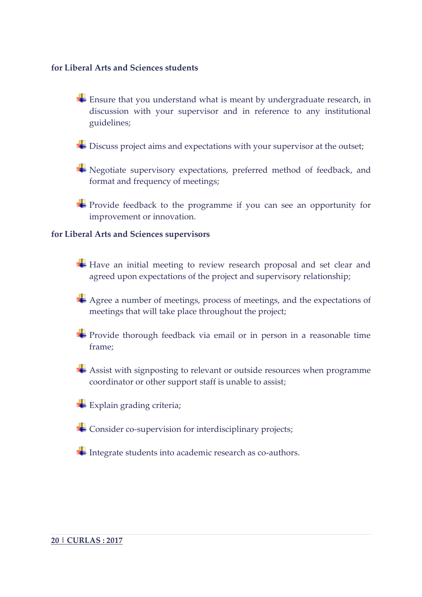#### **for Liberal Arts and Sciences students**

- Ensure that you understand what is meant by undergraduate research, in discussion with your supervisor and in reference to any institutional guidelines;
- $\blacklozenge$  **Discuss project aims and expectations with your supervisor at the outset;**
- **+** Negotiate supervisory expectations, preferred method of feedback, and format and frequency of meetings;
- $\div$  Provide feedback to the programme if you can see an opportunity for improvement or innovation.

#### **for Liberal Arts and Sciences supervisors**

- Have an initial meeting to review research proposal and set clear and agreed upon expectations of the project and supervisory relationship;
- Agree a number of meetings, process of meetings, and the expectations of meetings that will take place throughout the project;
- **+** Provide thorough feedback via email or in person in a reasonable time frame;
- Assist with signposting to relevant or outside resources when programme coordinator or other support staff is unable to assist;
- $\pm$  Explain grading criteria;
- $\blacktriangleright$  Consider co-supervision for interdisciplinary projects;
- Integrate students into academic research as co-authors.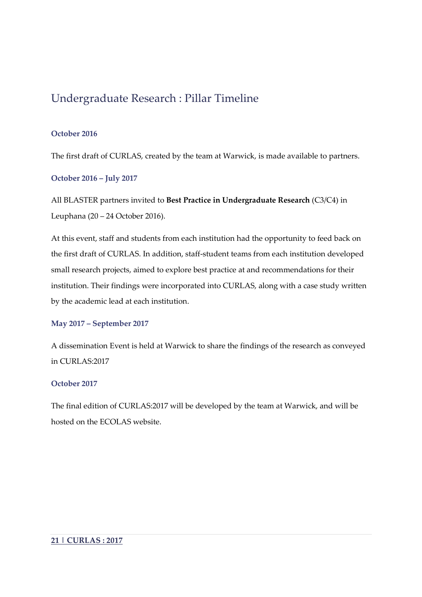## Undergraduate Research : Pillar Timeline

#### **October 2016**

The first draft of CURLAS, created by the team at Warwick, is made available to partners.

#### **October 2016 – July 2017**

All BLASTER partners invited to **Best Practice in Undergraduate Research** (C3/C4) in Leuphana (20 – 24 October 2016).

At this event, staff and students from each institution had the opportunity to feed back on the first draft of CURLAS. In addition, staff-student teams from each institution developed small research projects, aimed to explore best practice at and recommendations for their institution. Their findings were incorporated into CURLAS, along with a case study written by the academic lead at each institution.

#### **May 2017 – September 2017**

A dissemination Event is held at Warwick to share the findings of the research as conveyed in CURLAS:2017

#### **October 2017**

The final edition of CURLAS:2017 will be developed by the team at Warwick, and will be hosted on the ECOLAS website.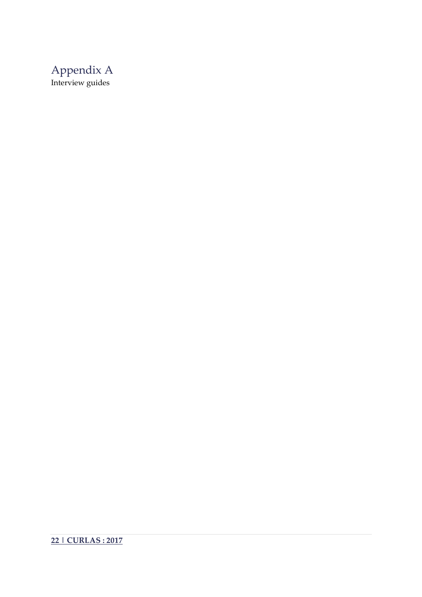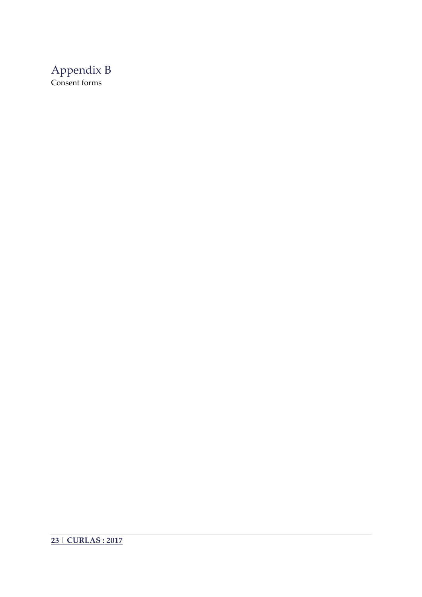